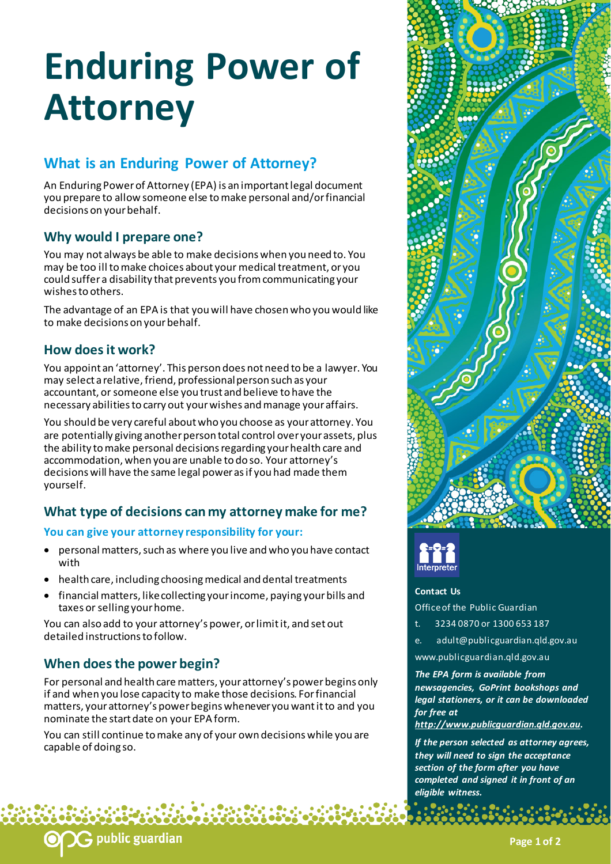# **Enduring Power of Attorney**

## **What is an Enduring Power of Attorney?**

An Enduring Power of Attorney (EPA) is an important legal document you prepare to allow someone else to make personal and/or financial decisions on your behalf.

## **Why would I prepare one?**

You may not always be able to make decisions when you need to. You may be too ill to make choices about your medical treatment, or you could suffer a disability that prevents you from communicating your wishes to others.

The advantage of an EPA is that you will have chosen who you would like to make decisions on your behalf.

## **How does it work?**

You appoint an 'attorney'. This person does not need to be a lawyer. You may select a relative, friend, professional person such as your accountant, or someone else you trust and believe to have the necessary abilities to carry out your wishes and manage your affairs.

You should be very careful about who you choose as your attorney. You are potentially giving another person total control over your assets, plus the ability to make personal decisions regarding your health care and accommodation, when you are unable to do so. Your attorney's decisions will have the same legal power as if you had made them yourself.

## **What type of decisions can my attorney make for me?**

### **You can give your attorney responsibility for your:**

- personal matters, such as where you live and who you have contact with
- health care, including choosing medical and dental treatments
- financial matters, like collecting your income, paying your bills and taxes or selling your home.

You can also add to your attorney's power, or limit it, and set out detailed instructions to follow.

## **When does the power begin?**

G public guardian

For personal and health care matters, your attorney's power begins only if and when you lose capacity to make those decisions. For financial matters, your attorney's power begins whenever you want it to and you nominate the start date on your EPA form.

You can still continue to make any of your own decisions while you are capable of doing so.





#### **Contact Us**

Office of the Public Guardian

- t. 3234 0870 or 1300 653 187
- e. adult@publicguardian.qld.gov.au
- www.publicguardian.qld.gov.au

#### *The EPA form is available from newsagencies, GoPrint bookshops and legal stationers, or it can be downloaded for free at*

*[http://www.publicguardian.qld.gov.au.](http://www.publicguardian.qld.gov.au/)* 

*If the person selected as attorney agrees, they will need to sign the acceptance section of the form after you have completed and signed it in front of an eligible witness.*

**Page 1 of 2**